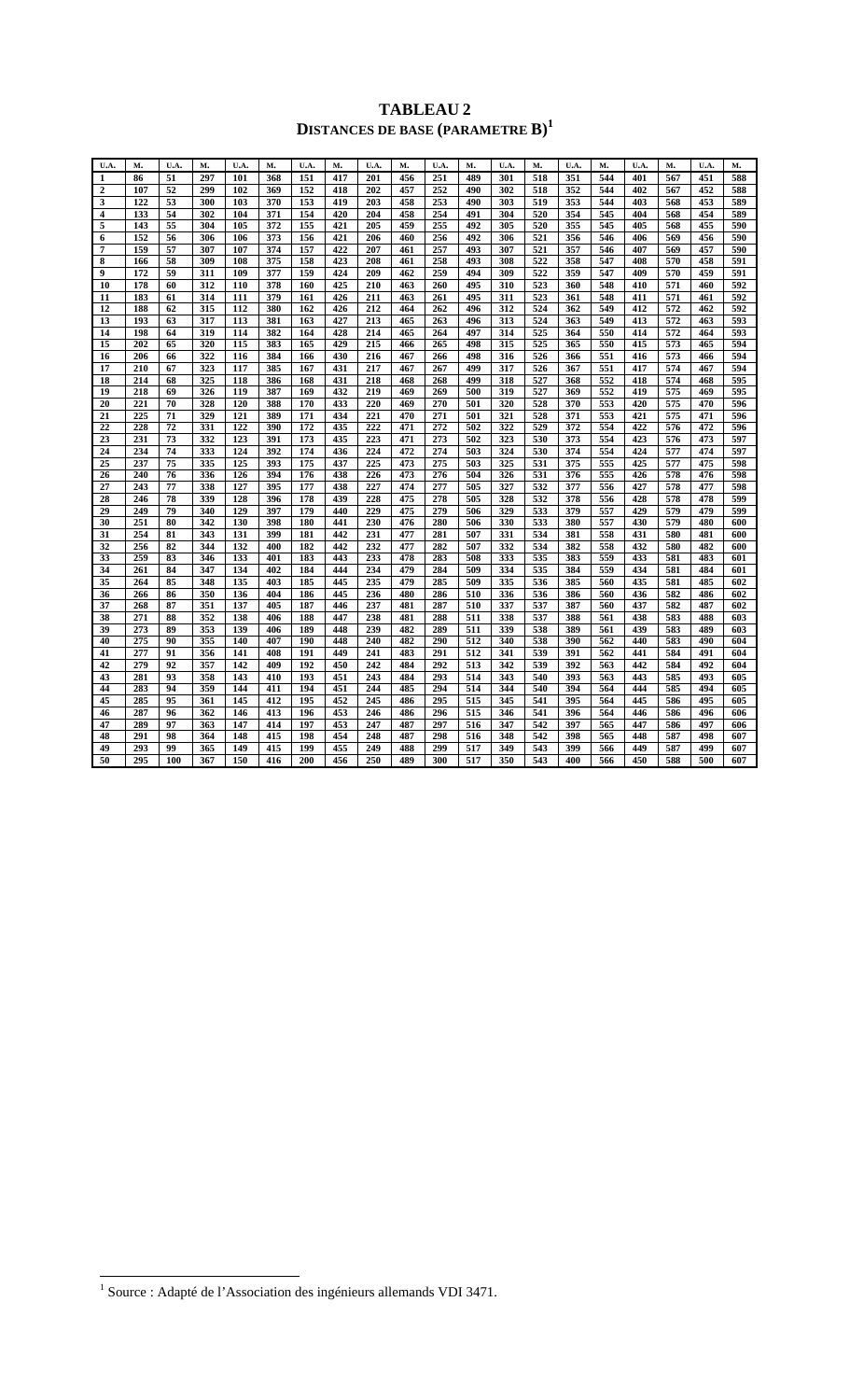## **TABLEAU 2 DISTANCES DE BASE (PARAMETRE B)<sup>1</sup>**

| U.A.             | м.  | U.A | М.  | U.A. | м.  | U.A | м.  | U.A. | м.  | U.A. | м.  | U.A. | м.  | U.A. | м.  | U.A. | м.  | U.A. | м.  |
|------------------|-----|-----|-----|------|-----|-----|-----|------|-----|------|-----|------|-----|------|-----|------|-----|------|-----|
| 1                | 86  | 51  | 297 | 101  | 368 | 151 | 417 | 201  | 456 | 251  | 489 | 301  | 518 | 351  | 544 | 401  | 567 | 451  | 588 |
| $\overline{2}$   | 107 | 52  | 299 | 102  | 369 | 152 | 418 | 202  | 457 | 252  | 490 | 302  | 518 | 352  | 544 | 402  | 567 | 452  | 588 |
| 3                | 122 | 53  | 300 | 103  | 370 | 153 | 419 | 203  | 458 | 253  | 490 | 303  | 519 | 353  | 544 | 403  | 568 | 453  | 589 |
| $\overline{4}$   | 133 | 54  | 302 | 104  | 371 | 154 | 420 | 204  | 458 | 254  | 491 | 304  | 520 | 354  | 545 | 404  | 568 | 454  | 589 |
| 5                | 143 | 55  | 304 | 105  | 372 | 155 | 421 | 205  | 459 | 255  | 492 | 305  | 520 | 355  | 545 | 405  | 568 | 455  | 590 |
| 6                | 152 | 56  | 306 | 106  | 373 | 156 | 421 | 206  | 460 | 256  | 492 | 306  | 521 | 356  | 546 | 406  | 569 | 456  | 590 |
| 7                | 159 | 57  | 307 | 107  | 374 | 157 | 422 | 207  | 461 | 257  | 493 | 307  | 521 | 357  | 546 | 407  | 569 | 457  | 590 |
| 8                | 166 | 58  | 309 | 108  | 375 | 158 | 423 | 208  | 461 | 258  | 493 | 308  | 522 | 358  | 547 | 408  | 570 | 458  | 591 |
| $\boldsymbol{9}$ | 172 | 59  | 311 | 109  | 377 | 159 | 424 | 209  | 462 | 259  | 494 | 309  | 522 | 359  | 547 | 409  | 570 | 459  | 591 |
| 10               | 178 | 60  | 312 | 110  | 378 | 160 | 425 | 210  | 463 | 260  | 495 | 310  | 523 | 360  | 548 | 410  | 571 | 460  | 592 |
| 11               | 183 | 61  | 314 | 111  | 379 | 161 | 426 | 211  | 463 | 261  | 495 | 311  | 523 | 361  | 548 | 411  | 571 | 461  | 592 |
| 12               | 188 | 62  | 315 | 112  | 380 | 162 | 426 | 212  | 464 | 262  | 496 | 312  | 524 | 362  | 549 | 412  | 572 | 462  | 592 |
| 13               | 193 | 63  | 317 | 113  | 381 | 163 | 427 | 213  | 465 | 263  | 496 | 313  | 524 | 363  | 549 | 413  | 572 | 463  | 593 |
| 14               | 198 | 64  | 319 | 114  | 382 | 164 | 428 | 214  | 465 | 264  | 497 | 314  | 525 | 364  | 550 | 414  | 572 | 464  | 593 |
| 15               | 202 | 65  | 320 | 115  | 383 | 165 | 429 | 215  | 466 | 265  | 498 | 315  | 525 | 365  | 550 | 415  | 573 | 465  | 594 |
| 16               | 206 | 66  | 322 | 116  | 384 | 166 | 430 | 216  | 467 | 266  | 498 | 316  | 526 | 366  | 551 | 416  | 573 | 466  | 594 |
| 17               | 210 | 67  | 323 | 117  | 385 | 167 | 431 | 217  | 467 | 267  | 499 | 317  | 526 | 367  | 551 | 417  | 574 | 467  | 594 |
| 18               | 214 | 68  | 325 | 118  | 386 | 168 | 431 | 218  | 468 | 268  | 499 | 318  | 527 | 368  | 552 | 418  | 574 | 468  | 595 |
| 19               | 218 | 69  | 326 | 119  | 387 | 169 | 432 | 219  | 469 | 269  | 500 | 319  | 527 | 369  | 552 | 419  | 575 | 469  | 595 |
| 20               | 221 | 70  | 328 | 120  | 388 | 170 | 433 | 220  | 469 | 270  | 501 | 320  | 528 | 370  | 553 | 420  | 575 | 470  | 596 |
| 21               | 225 | 71  | 329 | 121  | 389 | 171 | 434 | 221  | 470 | 271  | 501 | 321  | 528 | 371  | 553 | 421  | 575 | 471  | 596 |
| 22               | 228 | 72  | 331 | 122  | 390 | 172 | 435 | 222  | 471 | 272  | 502 | 322  | 529 | 372  | 554 | 422  | 576 | 472  | 596 |
| 23               | 231 | 73  | 332 | 123  | 391 | 173 | 435 | 223  | 471 | 273  | 502 | 323  | 530 | 373  | 554 | 423  | 576 | 473  | 597 |
| 24               | 234 | 74  | 333 | 124  | 392 | 174 | 436 | 224  | 472 | 274  | 503 | 324  | 530 | 374  | 554 | 424  | 577 | 474  | 597 |
| 25               | 237 | 75  | 335 | 125  | 393 | 175 | 437 | 225  | 473 | 275  | 503 | 325  | 531 | 375  | 555 | 425  | 577 | 475  | 598 |
| 26               | 240 | 76  | 336 | 126  | 394 | 176 | 438 | 226  | 473 | 276  | 504 | 326  | 531 | 376  | 555 | 426  | 578 | 476  | 598 |
| 27               | 243 | 77  | 338 | 127  | 395 | 177 | 438 | 227  | 474 | 277  | 505 | 327  | 532 | 377  | 556 | 427  | 578 | 477  | 598 |
| 28               | 246 | 78  | 339 | 128  | 396 | 178 | 439 | 228  | 475 | 278  | 505 | 328  | 532 | 378  | 556 | 428  | 578 | 478  | 599 |
| 29               | 249 | 79  | 340 | 129  | 397 | 179 | 440 | 229  | 475 | 279  | 506 | 329  | 533 | 379  | 557 | 429  | 579 | 479  | 599 |
| 30               | 251 | 80  | 342 | 130  | 398 | 180 | 441 | 230  | 476 | 280  | 506 | 330  | 533 | 380  | 557 | 430  | 579 | 480  | 600 |
| 31               | 254 | 81  | 343 | 131  | 399 | 181 | 442 | 231  | 477 | 281  | 507 | 331  | 534 | 381  | 558 | 431  | 580 | 481  | 600 |
| 32               | 256 | 82  | 344 | 132  | 400 | 182 | 442 | 232  | 477 | 282  | 507 | 332  | 534 | 382  | 558 | 432  | 580 | 482  | 600 |
| 33               | 259 | 83  | 346 | 133  | 401 | 183 | 443 | 233  | 478 | 283  | 508 | 333  | 535 | 383  | 559 | 433  | 581 | 483  | 601 |
| 34               | 261 | 84  | 347 | 134  | 402 | 184 | 444 | 234  | 479 | 284  | 509 | 334  | 535 | 384  | 559 | 434  | 581 | 484  | 601 |
| 35               | 264 | 85  | 348 | 135  | 403 | 185 | 445 | 235  | 479 | 285  | 509 | 335  | 536 | 385  | 560 | 435  | 581 | 485  | 602 |
| 36               | 266 | 86  | 350 | 136  | 404 | 186 | 445 | 236  | 480 | 286  | 510 | 336  | 536 | 386  | 560 | 436  | 582 | 486  | 602 |
| 37               | 268 | 87  | 351 | 137  | 405 | 187 | 446 | 237  | 481 | 287  | 510 | 337  | 537 | 387  | 560 | 437  | 582 | 487  | 602 |
| 38               | 271 | 88  | 352 | 138  | 406 | 188 | 447 | 238  | 481 | 288  | 511 | 338  | 537 | 388  | 561 | 438  | 583 | 488  | 603 |
| 39               | 273 | 89  | 353 | 139  | 406 | 189 | 448 | 239  | 482 | 289  | 511 | 339  | 538 | 389  | 561 | 439  | 583 | 489  | 603 |
| 40               | 275 | 90  | 355 | 140  | 407 | 190 | 448 | 240  | 482 | 290  | 512 | 340  | 538 | 390  | 562 | 440  | 583 | 490  | 604 |
| 41               | 277 | 91  | 356 | 141  | 408 | 191 | 449 | 241  | 483 | 291  | 512 | 341  | 539 | 391  | 562 | 441  | 584 | 491  | 604 |
| 42               | 279 | 92  | 357 | 142  | 409 | 192 | 450 | 242  | 484 | 292  | 513 | 342  | 539 | 392  | 563 | 442  | 584 | 492  | 604 |
| 43               | 281 | 93  | 358 | 143  | 410 | 193 | 451 | 243  | 484 | 293  | 514 | 343  | 540 | 393  | 563 | 443  | 585 | 493  | 605 |
| 44               | 283 | 94  | 359 | 144  | 411 | 194 | 451 | 244  | 485 | 294  | 514 | 344  | 540 | 394  | 564 | 444  | 585 | 494  | 605 |
| 45               | 285 | 95  | 361 | 145  | 412 | 195 | 452 | 245  | 486 | 295  | 515 | 345  | 541 | 395  | 564 | 445  | 586 | 495  | 605 |
| 46               | 287 | 96  | 362 | 146  | 413 | 196 | 453 | 246  | 486 | 296  | 515 | 346  | 541 | 396  | 564 | 446  | 586 | 496  | 606 |
| 47               | 289 | 97  | 363 | 147  | 414 | 197 | 453 | 247  | 487 | 297  | 516 | 347  | 542 | 397  | 565 | 447  | 586 | 497  | 606 |
| 48               | 291 | 98  | 364 | 148  | 415 | 198 | 454 | 248  | 487 | 298  | 516 | 348  | 542 | 398  | 565 | 448  | 587 | 498  | 607 |
| 49               | 293 | 99  | 365 | 149  | 415 | 199 | 455 | 249  | 488 | 299  | 517 | 349  | 543 | 399  | 566 | 449  | 587 | 499  | 607 |
| 50               | 295 | 100 | 367 | 150  | 416 | 200 | 456 | 250  | 489 | 300  | 517 | 350  | 543 | 400  | 566 | 450  | 588 | 500  | 607 |

 1 Source : Adapté de l'Association des ingénieurs allemands VDI 3471.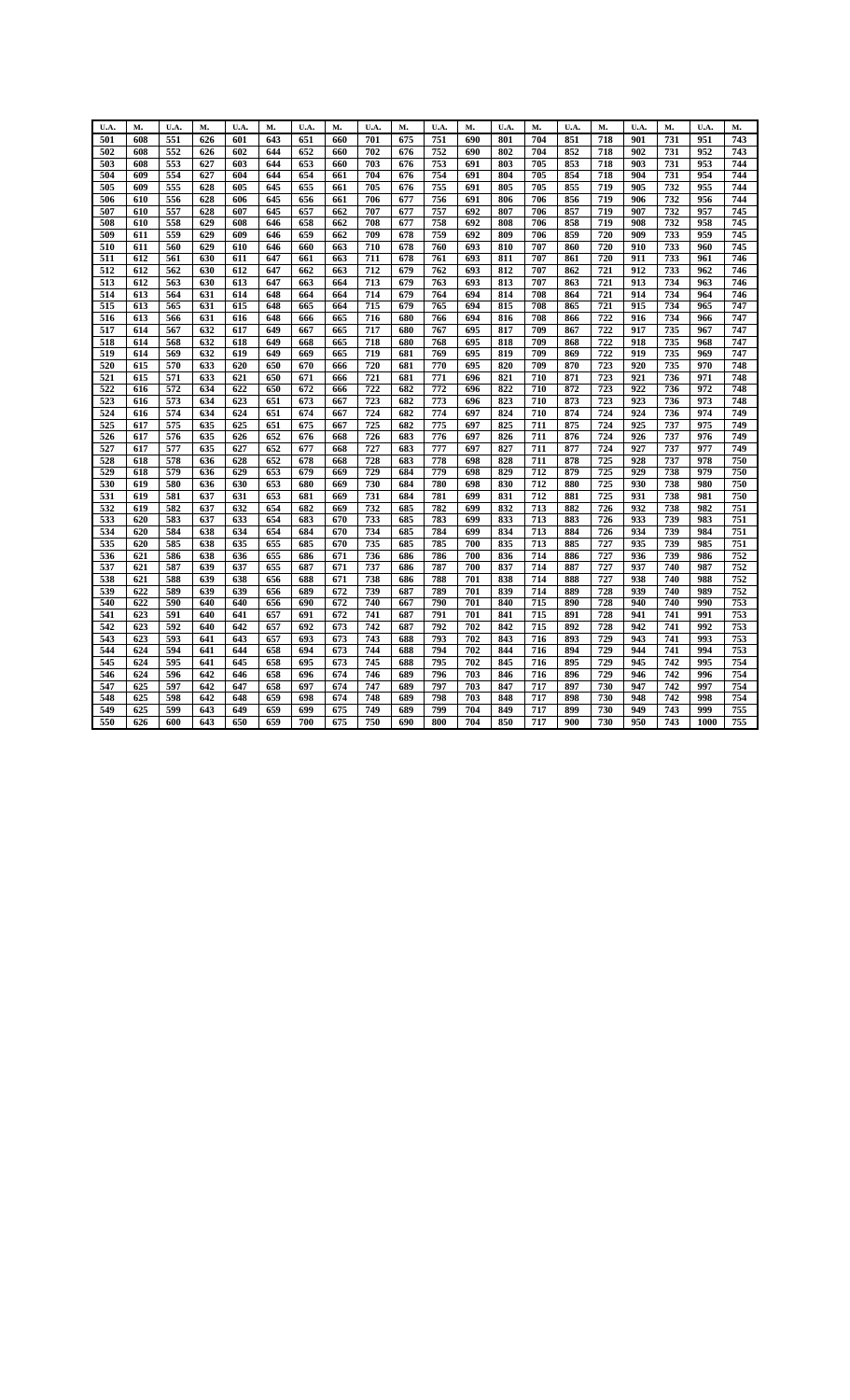| U.A.       | м.         | U.A.       | м.         | U.A.       | м.         | U.A.       | м.         | U.A.       | м.         | U.A.       | м.         | U.A.       | м.         | U.A.       | м.         | U.A.       | М.         | U.A.       | M.               |
|------------|------------|------------|------------|------------|------------|------------|------------|------------|------------|------------|------------|------------|------------|------------|------------|------------|------------|------------|------------------|
|            |            |            |            | 601        |            |            |            | 701        |            | 751        | 690        | 801        | 704        |            |            | 901        |            | 951        | 743              |
| 501<br>502 | 608<br>608 | 551<br>552 | 626<br>626 | 602        | 643<br>644 | 651<br>652 | 660<br>660 | 702        | 675<br>676 | 752        | 690        | 802        | 704        | 851<br>852 | 718<br>718 | 902        | 731<br>731 | 952        | 743              |
| 503        | 608        | 553        | 627        | 603        | 644        | 653        | 660        | 703        | 676        | 753        | 691        | 803        | 705        | 853        | 718        | 903        | 731        | 953        | 744              |
| 504        | 609        | 554        | 627        | 604        | 644        | 654        | 661        | 704        | 676        | 754        | 691        | 804        | 705        | 854        | 718        | 904        | 731        | 954        | 744              |
| 505        | 609        | 555        | 628        | 605        | 645        | 655        | 661        | 705        | 676        | 755        | 691        | 805        | 705        | 855        | 719        | 905        | 732        | 955        | 744              |
|            |            |            |            |            |            |            |            |            |            |            |            |            |            |            |            |            |            |            |                  |
| 506<br>507 | 610<br>610 | 556<br>557 | 628<br>628 | 606<br>607 | 645<br>645 | 656<br>657 | 661<br>662 | 706<br>707 | 677<br>677 | 756<br>757 | 691<br>692 | 806<br>807 | 706<br>706 | 856<br>857 | 719<br>719 | 906<br>907 | 732<br>732 | 956<br>957 | 744<br>745       |
|            |            |            |            |            |            |            |            |            |            | 758        |            |            |            |            | 719        | 908        | 732        | 958        |                  |
| 508        | 610        | 558        | 629        | 608        | 646        | 658        | 662        | 708        | 677        |            | 692        | 808        | 706        | 858        |            |            |            |            | 745<br>745       |
| 509        | 611        | 559        | 629        | 609        | 646        | 659        | 662        | 709        | 678        | 759        | 692        | 809        | 706        | 859        | 720        | 909        | 733        | 959        |                  |
| 510        | 611        | 560        | 629        | 610        | 646        | 660        | 663        | 710        | 678        | 760        | 693        | 810        | 707        | 860        | 720        | 910        | 733        | 960        | 745              |
| 511        | 612        | 561        | 630        | 611        | 647        | 661        | 663        | 711        | 678        | 761        | 693        | 811        | 707        | 861        | 720        | 911        | 733        | 961        | 746              |
| 512        | 612        | 562        | 630        | 612        | 647        | 662        | 663        | 712        | 679        | 762        | 693        | 812        | 707        | 862        | 721        | 912        | 733        | 962        | 746              |
| 513        | 612        | 563        | 630        | 613        | 647        | 663        | 664        | 713        | 679        | 763        | 693        | 813        | 707        | 863        | 721        | 913        | 734        | 963        | 746              |
| 514        | 613        | 564        | 631        | 614        | 648        | 664        | 664        | 714        | 679        | 764        | 694        | 814        | 708        | 864        | 721        | 914        | 734        | 964        | 746              |
| 515        | 613        | 565        | 631        | 615        | 648        | 665        | 664        | 715        | 679        | 765        | 694        | 815        | 708        | 865        | 721        | 915        | 734        | 965        | 747              |
| 516        | 613        | 566        | 631        | 616        | 648        | 666        | 665        | 716        | 680        | 766        | 694        | 816        | 708        | 866        | 722        | 916        | 734        | 966        | 747              |
| 517        | 614        | 567        | 632        | 617        | 649        | 667        | 665        | 717        | 680        | 767        | 695        | 817        | 709        | 867        | 722        | 917        | 735        | 967        | 747              |
| 518        | 614        | 568        | 632        | 618        | 649        | 668        | 665        | 718        | 680        | 768        | 695        | 818        | 709        | 868        | 722        | 918        | 735        | 968        | 747              |
| 519        | 614        | 569        | 632        | 619        | 649        | 669        | 665        | 719        | 681        | 769        | 695        | 819        | 709        | 869        | 722        | 919        | 735        | 969        | 747              |
| 520        | 615        | 570        | 633        | 620        | 650        | 670        | 666        | 720        | 681        | 770        | 695        | 820        | 709        | 870        | 723        | 920        | 735        | 970        | 748              |
| 521        | 615        | 571        | 633        | 621        | 650        | 671        | 666        | 721        | 681        | 771        | 696        | 821        | 710        | 871        | 723        | 921        | 736        | 971        | 748              |
| 522        | 616        | 572        | 634        | 622        | 650        | 672        | 666        | 722        | 682        | 772        | 696        | 822        | 710        | 872        | 723        | 922        | 736        | 972        | 748              |
| 523        | 616        | 573        | 634        | 623        | 651        | 673        | 667        | 723        | 682        | 773        | 696        | 823        | 710        | 873        | 723        | 923        | 736        | 973        | 748              |
| 524        | 616        | 574        | 634        | 624        | 651        | 674        | 667        | 724        | 682        | 774        | 697        | 824        | 710        | 874        | 724        | 924        | 736        | 974        | 749              |
| 525        | 617        | 575        | 635        | 625        | 651        | 675        | 667        | 725        | 682        | 775        | 697        | 825        | 711        | 875        | 724        | 925        | 737        | 975        | 749              |
| 526        | 617        | 576        | 635        | 626        | 652        | 676        | 668        | 726        | 683        | 776        | 697        | 826        | 711        | 876        | 724        | 926        | 737        | 976        | 749              |
| 527        | 617        | 577        | 635        | 627        | 652        | 677        | 668        | 727        | 683        | 777        | 697        | 827        | 711        | 877        | 724        | 927        | 737        | 977        | 749              |
| 528        | 618        | 578        | 636        | 628        | 652        | 678        | 668        | 728        | 683        | 778        | 698        | 828        | 711        | 878        | 725        | 928        | 737        | 978        | 750              |
| 529        | 618        | 579        | 636        | 629        | 653        | 679        | 669        | 729        | 684        | 779        | 698        | 829        | 712        | 879        | 725        | 929        | 738        | 979        | 750              |
| 530        | 619        | 580        | 636        | 630        | 653        | 680        | 669        | 730        | 684        | 780        | 698        | 830        | 712        | 880        | 725        | 930        | 738        | 980        | 750              |
| 531        | 619        | 581        | 637        | 631        | 653        | 681        | 669        | 731        | 684        | 781        | 699        | 831        | 712        | 881        | 725        | 931        | 738        | 981        | 750              |
| 532        | 619        | 582        | 637        | 632        | 654        | 682        | 669        | 732        | 685        | 782        | 699        | 832        | 713        | 882        | 726        | 932        | 738        | 982        | 751              |
| 533        | 620        | 583        | 637        | 633        | 654        | 683        | 670        | 733        | 685        | 783        | 699        | 833        | 713        | 883        | 726        | 933        | 739        | 983        | 751              |
| 534        | 620        | 584        | 638        | 634        | 654        | 684        | 670        | 734        | 685        | 784        | 699        | 834        | 713        | 884        | 726        | 934        | 739        | 984        | 751              |
| 535        | 620        | 585        | 638        | 635        | 655        | 685        | 670        | 735        | 685        | 785        | 700        | 835        | 713        | 885        | 727        | 935        | 739        | 985        | 751              |
| 536        | 621        | 586        | 638        | 636        | 655        | 686        | 671        | 736        | 686        | 786        | 700        | 836        | 714        | 886        | 727        | 936        | 739        | 986        | 752              |
| 537        | 621        | 587        | 639        | 637        | 655        | 687        | 671        | 737        | 686        | 787        | 700        | 837        | 714        | 887        | 727        | 937        | 740        | 987        | 752              |
| 538        | 621        | 588        | 639        | 638        | 656        | 688        | 671        | 738        | 686        | 788        | 701        | 838        | 714        | 888        | 727        | 938        | 740        | 988        | 752              |
| 539        | 622        | 589        | 639        | 639        | 656        | 689        | 672        | 739        | 687        | 789        | 701        | 839        | 714        | 889        | 728        | 939        | 740        | 989        | 752              |
| 540        | 622        | 590        | 640        | 640        | 656        | 690        | 672        | 740        | 667        | 790        | 701        | 840        | 715        | 890        | 728        | 940        | 740        | 990        | $\overline{753}$ |
| 541        | 623        | 591        | 640        | 641        | 657        | 691        | 672        | 741        | 687        | 791        | 701        | 841        | 715        | 891        | 728        | 941        | 741        | 991        | 753              |
| 542        | 623        | 592        | 640        | 642        | 657        | 692        | 673        | 742        | 687        | 792        | 702        | 842        | 715        | 892        | 728        | 942        | 741        | 992        | 753              |
| 543        | 623        | 593        | 641        | 643        | 657        | 693        | 673        | 743        | 688        | 793        | 702        | 843        | 716        | 893        | 729        | 943        | 741        | 993        | 753              |
| 544        | 624        | 594        | 641        | 644        | 658        | 694        | 673        | 744        | 688        | 794        | 702        | 844        | 716        | 894        | 729        | 944        | 741        | 994        | 753              |
| 545        | 624        | 595        | 641        | 645        | 658        | 695        | 673        | 745        | 688        | 795        | 702        | 845        | 716        | 895        | 729        | 945        | 742        | 995        | 754              |
| 546        | 624        | 596        | 642        | 646        | 658        | 696        | 674        | 746        | 689        | 796        | 703        | 846        | 716        | 896        | 729        | 946        | 742        | 996        | 754              |
| 547        | 625        | 597        | 642        | 647        | 658        | 697        | 674        | 747        | 689        | 797        | 703        | 847        | 717        | 897        | 730        | 947        | 742        | 997        | 754              |
| 548        | 625        | 598        | 642        | 648        | 659        | 698        | 674        | 748        | 689        | 798        | 703        | 848        | 717        | 898        | 730        | 948        | 742        | 998        | 754              |
| 549        | 625        | 599        | 643        | 649        | 659        | 699        | 675        | 749        | 689        | 799        | 704        | 849        | 717        | 899        | 730        | 949        | 743        | 999        | 755              |
| 550        | 626        | 600        | 643        | 650        | 659        | 700        | 675        | 750        | 690        | 800        | 704        | 850        | 717        | 900        | 730        | 950        | 743        | 1000       | 755              |